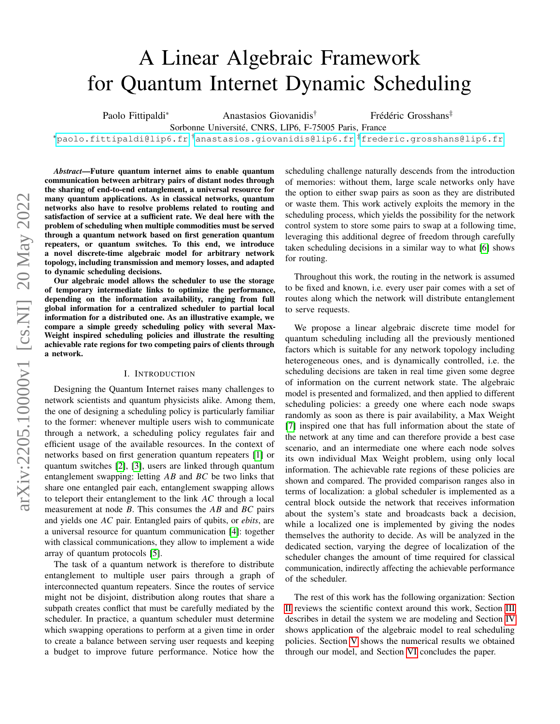# A Linear Algebraic Framework for Quantum Internet Dynamic Scheduling

Paolo Fittipaldi<sup>∗</sup> Anastasios Giovanidis<sup>†</sup> Frédéric Grosshans<sup>‡</sup>

Sorbonne Université, CNRS, LIP6, F-75005 Paris, France

<sup>∗</sup>[paolo.fittipaldi@lip6.fr](mailto:paolo.fittipaldi@lip6.fr) †[anastasios.giovanidis@lip6.fr](mailto:anastasios.giovanidis@lip6.fr) ‡[frederic.grosshans@lip6.fr](mailto:frederic.grosshans@lip6.fr)

*Abstract*—Future quantum internet aims to enable quantum communication between arbitrary pairs of distant nodes through the sharing of end-to-end entanglement, a universal resource for many quantum applications. As in classical networks, quantum networks also have to resolve problems related to routing and satisfaction of service at a sufficient rate. We deal here with the problem of scheduling when multiple commodities must be served through a quantum network based on first generation quantum repeaters, or quantum switches. To this end, we introduce a novel discrete-time algebraic model for arbitrary network topology, including transmission and memory losses, and adapted to dynamic scheduling decisions.

Our algebraic model allows the scheduler to use the storage of temporary intermediate links to optimize the performance, depending on the information availability, ranging from full global information for a centralized scheduler to partial local information for a distributed one. As an illustrative example, we compare a simple greedy scheduling policy with several Max-Weight inspired scheduling policies and illustrate the resulting achievable rate regions for two competing pairs of clients through a network.

#### I. INTRODUCTION

Designing the Quantum Internet raises many challenges to network scientists and quantum physicists alike. Among them, the one of designing a scheduling policy is particularly familiar to the former: whenever multiple users wish to communicate through a network, a scheduling policy regulates fair and efficient usage of the available resources. In the context of networks based on first generation quantum repeaters [\[1\]](#page-5-0) or quantum switches [\[2\]](#page-6-0), [\[3\]](#page-6-1), users are linked through quantum entanglement swapping: letting  $AB$  and  $BC$  be two links that share one entangled pair each, entanglement swapping allows to teleport their entanglement to the link  $AC$  through a local measurement at node  $B$ . This consumes the  $AB$  and  $BC$  pairs and yields one *AC* pair. Entangled pairs of qubits, or *ebits*, are a universal resource for quantum communication [\[4\]](#page-6-2): together with classical communications, they allow to implement a wide array of quantum protocols [\[5\]](#page-6-3).

The task of a quantum network is therefore to distribute entanglement to multiple user pairs through a graph of interconnected quantum repeaters. Since the routes of service might not be disjoint, distribution along routes that share a subpath creates conflict that must be carefully mediated by the scheduler. In practice, a quantum scheduler must determine which swapping operations to perform at a given time in order to create a balance between serving user requests and keeping a budget to improve future performance. Notice how the scheduling challenge naturally descends from the introduction of memories: without them, large scale networks only have the option to either swap pairs as soon as they are distributed or waste them. This work actively exploits the memory in the scheduling process, which yields the possibility for the network control system to store some pairs to swap at a following time, leveraging this additional degree of freedom through carefully taken scheduling decisions in a similar way to what [\[6\]](#page-6-4) shows for routing.

Throughout this work, the routing in the network is assumed to be fixed and known, i.e. every user pair comes with a set of routes along which the network will distribute entanglement to serve requests.

We propose a linear algebraic discrete time model for quantum scheduling including all the previously mentioned factors which is suitable for any network topology including heterogeneous ones, and is dynamically controlled, i.e. the scheduling decisions are taken in real time given some degree of information on the current network state. The algebraic model is presented and formalized, and then applied to different scheduling policies: a greedy one where each node swaps randomly as soon as there is pair availability, a Max Weight [\[7\]](#page-6-5) inspired one that has full information about the state of the network at any time and can therefore provide a best case scenario, and an intermediate one where each node solves its own individual Max Weight problem, using only local information. The achievable rate regions of these policies are shown and compared. The provided comparison ranges also in terms of localization: a global scheduler is implemented as a central block outside the network that receives information about the system's state and broadcasts back a decision, while a localized one is implemented by giving the nodes themselves the authority to decide. As will be analyzed in the dedicated section, varying the degree of localization of the scheduler changes the amount of time required for classical communication, indirectly affecting the achievable performance of the scheduler.

The rest of this work has the following organization: Section [II](#page-1-0) reviews the scientific context around this work, Section [III](#page-1-1) describes in detail the system we are modeling and Section [IV](#page-3-0) shows application of the algebraic model to real scheduling policies. Section [V](#page-5-1) shows the numerical results we obtained through our model, and Section [VI](#page-5-2) concludes the paper.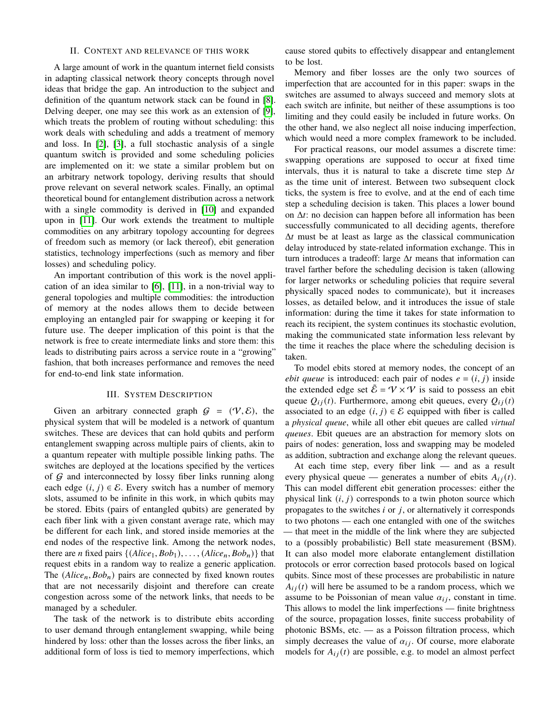## II. CONTEXT AND RELEVANCE OF THIS WORK

<span id="page-1-0"></span>A large amount of work in the quantum internet field consists in adapting classical network theory concepts through novel ideas that bridge the gap. An introduction to the subject and definition of the quantum network stack can be found in [\[8\]](#page-6-6). Delving deeper, one may see this work as an extension of [\[9\]](#page-6-7), which treats the problem of routing without scheduling: this work deals with scheduling and adds a treatment of memory and loss. In [\[2\]](#page-6-0), [\[3\]](#page-6-1), a full stochastic analysis of a single quantum switch is provided and some scheduling policies are implemented on it: we state a similar problem but on an arbitrary network topology, deriving results that should prove relevant on several network scales. Finally, an optimal theoretical bound for entanglement distribution across a network with a single commodity is derived in [\[10\]](#page-6-8) and expanded upon in [\[11\]](#page-6-9). Our work extends the treatment to multiple commodities on any arbitrary topology accounting for degrees of freedom such as memory (or lack thereof), ebit generation statistics, technology imperfections (such as memory and fiber losses) and scheduling policy.

An important contribution of this work is the novel application of an idea similar to [\[6\]](#page-6-4), [\[11\]](#page-6-9), in a non-trivial way to general topologies and multiple commodities: the introduction of memory at the nodes allows them to decide between employing an entangled pair for swapping or keeping it for future use. The deeper implication of this point is that the network is free to create intermediate links and store them: this leads to distributing pairs across a service route in a "growing" fashion, that both increases performance and removes the need for end-to-end link state information.

### III. SYSTEM DESCRIPTION

<span id="page-1-1"></span>Given an arbitrary connected graph  $G = (\mathcal{V}, \mathcal{E})$ , the physical system that will be modeled is a network of quantum switches. These are devices that can hold qubits and perform entanglement swapping across multiple pairs of clients, akin to a quantum repeater with multiple possible linking paths. The switches are deployed at the locations specified by the vertices of  $G$  and interconnected by lossy fiber links running along each edge  $(i, j) \in \mathcal{E}$ . Every switch has a number of memory slots, assumed to be infinite in this work, in which qubits may be stored. Ebits (pairs of entangled qubits) are generated by each fiber link with a given constant average rate, which may be different for each link, and stored inside memories at the end nodes of the respective link. Among the network nodes, there are *n* fixed pairs  $\{(Alice_1, Bob_1), \ldots, (Alice_n, Bob_n)\}$  that request ebits in a random way to realize a generic application. The  $(Alice_n, Bob_n)$  pairs are connected by fixed known routes that are not necessarily disjoint and therefore can create congestion across some of the network links, that needs to be managed by a scheduler.

The task of the network is to distribute ebits according to user demand through entanglement swapping, while being hindered by loss: other than the losses across the fiber links, an additional form of loss is tied to memory imperfections, which cause stored qubits to effectively disappear and entanglement to be lost.

Memory and fiber losses are the only two sources of imperfection that are accounted for in this paper: swaps in the switches are assumed to always succeed and memory slots at each switch are infinite, but neither of these assumptions is too limiting and they could easily be included in future works. On the other hand, we also neglect all noise inducing imperfection, which would need a more complex framework to be included.

For practical reasons, our model assumes a discrete time: swapping operations are supposed to occur at fixed time intervals, thus it is natural to take a discrete time step  $\Delta t$ as the time unit of interest. Between two subsequent clock ticks, the system is free to evolve, and at the end of each time step a scheduling decision is taken. This places a lower bound on  $\Delta t$ : no decision can happen before all information has been successfully communicated to all deciding agents, therefore  $\Delta t$  must be at least as large as the classical communication delay introduced by state-related information exchange. This in turn introduces a tradeoff: large  $\Delta t$  means that information can travel farther before the scheduling decision is taken (allowing for larger networks or scheduling policies that require several physically spaced nodes to communicate), but it increases losses, as detailed below, and it introduces the issue of stale information: during the time it takes for state information to reach its recipient, the system continues its stochastic evolution, making the communicated state information less relevant by the time it reaches the place where the scheduling decision is taken.

To model ebits stored at memory nodes, the concept of an *ebit queue* is introduced: each pair of nodes  $e = (i, j)$  inside the extended edge set  $\hat{\mathcal{E}} = \mathcal{V} \times \mathcal{V}$  is said to possess an ebit queue  $Q_{ij}(t)$ . Furthermore, among ebit queues, every  $Q_{ij}(t)$ associated to an edge  $(i, j) \in \mathcal{E}$  equipped with fiber is called a *physical queue*, while all other ebit queues are called *virtual queues*. Ebit queues are an abstraction for memory slots on pairs of nodes: generation, loss and swapping may be modeled as addition, subtraction and exchange along the relevant queues.

At each time step, every fiber link — and as a result every physical queue — generates a number of ebits  $A_{ij}(t)$ . This can model different ebit generation processes: either the physical link  $(i, j)$  corresponds to a twin photon source which propagates to the switches  $i$  or  $j$ , or alternatively it corresponds to two photons — each one entangled with one of the switches — that meet in the middle of the link where they are subjected to a (possibly probabilistic) Bell state measurement (BSM). It can also model more elaborate entanglement distillation protocols or error correction based protocols based on logical qubits. Since most of these processes are probabilistic in nature  $A_{ij}(t)$  will here be assumed to be a random process, which we assume to be Poissonian of mean value  $\alpha_{ij}$ , constant in time. This allows to model the link imperfections — finite brightness of the source, propagation losses, finite success probability of photonic BSMs, etc. — as a Poisson filtration process, which simply decreases the value of  $\alpha_{ij}$ . Of course, more elaborate models for  $A_{ij}(t)$  are possible, e.g. to model an almost perfect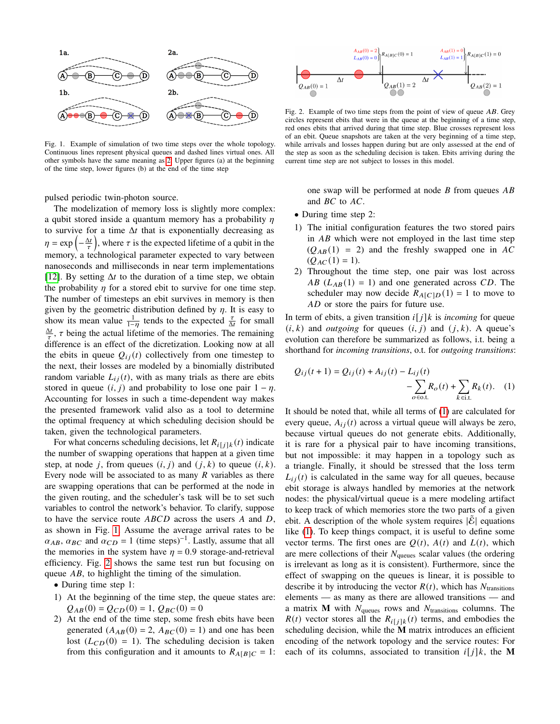

Fig. 1. Example of simulation of two time steps over the whole topology. Continuous lines represent physical queues and dashed lines virtual ones. All other symbols have the same meaning as [2.](#page-2-0) Upper figures (a) at the beginning of the time step, lower figures (b) at the end of the time step

pulsed periodic twin-photon source.

The modelization of memory loss is slightly more complex: a qubit stored inside a quantum memory has a probability  $\eta$ to survive for a time  $\Delta t$  that is exponentially decreasing as  $\eta = \exp\left(-\frac{\Delta t}{\tau}\right)$ , where  $\tau$  is the expected lifetime of a qubit in the memory, a technological parameter expected to vary between nanoseconds and milliseconds in near term implementations [\[12\]](#page-6-10). By setting  $\Delta t$  to the duration of a time step, we obtain the probability  $\eta$  for a stored ebit to survive for one time step. The number of timesteps an ebit survives in memory is then given by the geometric distribution defined by  $\eta$ . It is easy to show its mean value  $\frac{1}{1-\eta}$  tends to the expected  $\frac{\tau}{\Delta t}$  for small  $\frac{\Delta t}{\tau}$ ,  $\tau$  being the actual lifetime of the memories. The remaining difference is an effect of the dicretization. Looking now at all the ebits in queue  $Q_{ij}(t)$  collectively from one timestep to the next, their losses are modeled by a binomially distributed random variable  $L_{ij}(t)$ , with as many trials as there are ebits stored in queue  $(i, j)$  and probability to lose one pair  $1 - \eta$ . Accounting for losses in such a time-dependent way makes the presented framework valid also as a tool to determine the optimal frequency at which scheduling decision should be taken, given the technological parameters.

For what concerns scheduling decisions, let  $R_{i[j]k}(t)$  indicate the number of swapping operations that happen at a given time step, at node j, from queues  $(i, j)$  and  $(j, k)$  to queue  $(i, k)$ . Every node will be associated to as many  *variables as there* are swapping operations that can be performed at the node in the given routing, and the scheduler's task will be to set such variables to control the network's behavior. To clarify, suppose to have the service route  $ABCD$  across the users  $A$  and  $D$ , as shown in Fig. [1.](#page-2-1) Assume the average arrival rates to be  $\alpha_{AB}, \alpha_{BC}$  and  $\alpha_{CD} = 1$  (time steps)<sup>-1</sup>. Lastly, assume that all the memories in the system have  $\eta = 0.9$  storage-and-retrieval efficiency. Fig. [2](#page-2-0) shows the same test run but focusing on queue  $AB$ , to highlight the timing of the simulation.

• During time step 1:

- 1) At the beginning of the time step, the queue states are:  $Q_{AB}(0) = Q_{CD}(0) = 1, Q_{BC}(0) = 0$
- 2) At the end of the time step, some fresh ebits have been generated  $(A_{AB}(0) = 2, A_{BC}(0) = 1)$  and one has been lost  $(L_{CD}(0) = 1)$ . The scheduling decision is taken from this configuration and it amounts to  $R_{A[B]C} = 1$ :



<span id="page-2-1"></span><span id="page-2-0"></span>Fig. 2. Example of two time steps from the point of view of queue  $AB$ . Grey circles represent ebits that were in the queue at the beginning of a time step, red ones ebits that arrived during that time step. Blue crosses represent loss of an ebit. Queue snapshots are taken at the very beginning of a time step, while arrivals and losses happen during but are only assessed at the end of the step as soon as the scheduling decision is taken. Ebits arriving during the current time step are not subject to losses in this model.

one swap will be performed at node  $B$  from queues  $AB$ and  $BC$  to  $AC$ .

- During time step 2:
- 1) The initial configuration features the two stored pairs in  $AB$  which were not employed in the last time step  $(Q_{AB}(1) = 2)$  and the freshly swapped one in AC  $(Q_{AC}(1) = 1).$
- 2) Throughout the time step, one pair was lost across AB  $(L_{AB}(1) = 1)$  and one generated across CD. The scheduler may now decide  $R_{A[C]D}(1) = 1$  to move to  $AD$  or store the pairs for future use.

In term of ebits, a given transition  $i[j]k$  is *incoming* for queue  $(i, k)$  and *outgoing* for queues  $(i, j)$  and  $(j, k)$ . A queue's evolution can therefore be summarized as follows, i.t. being a shorthand for *incoming transitions*, o.t. for *outgoing transitions*:

<span id="page-2-2"></span>
$$
Q_{ij}(t+1) = Q_{ij}(t) + A_{ij}(t) - L_{ij}(t) - \sum_{o \in \text{o.t.}} R_o(t) + \sum_{k \in \text{i.t.}} R_k(t). \quad (1)
$$

It should be noted that, while all terms of [\(1\)](#page-2-2) are calculated for every queue,  $A_{ij}(t)$  across a virtual queue will always be zero, because virtual queues do not generate ebits. Additionally, it is rare for a physical pair to have incoming transitions, but not impossible: it may happen in a topology such as a triangle. Finally, it should be stressed that the loss term  $L_{ij}(t)$  is calculated in the same way for all queues, because ebit storage is always handled by memories at the network nodes: the physical/virtual queue is a mere modeling artifact to keep track of which memories store the two parts of a given ebit. A description of the whole system requires  $|\mathcal{E}|$  equations like [\(1\)](#page-2-2). To keep things compact, it is useful to define some vector terms. The first ones are  $Q(t)$ ,  $A(t)$  and  $L(t)$ , which are mere collections of their  $N_{\text{queues}}$  scalar values (the ordering is irrelevant as long as it is consistent). Furthermore, since the effect of swapping on the queues is linear, it is possible to describe it by introducing the vector  $R(t)$ , which has  $N<sub>transitions</sub>$ elements — as many as there are allowed transitions — and a matrix **M** with  $N_{\text{queues}}$  rows and  $N_{\text{transitions}}$  columns. The  $R(t)$  vector stores all the  $R_{i[j]k}(t)$  terms, and embodies the scheduling decision, while the **M** matrix introduces an efficient encoding of the network topology and the service routes: For each of its columns, associated to transition  $i[j]k$ , the **M**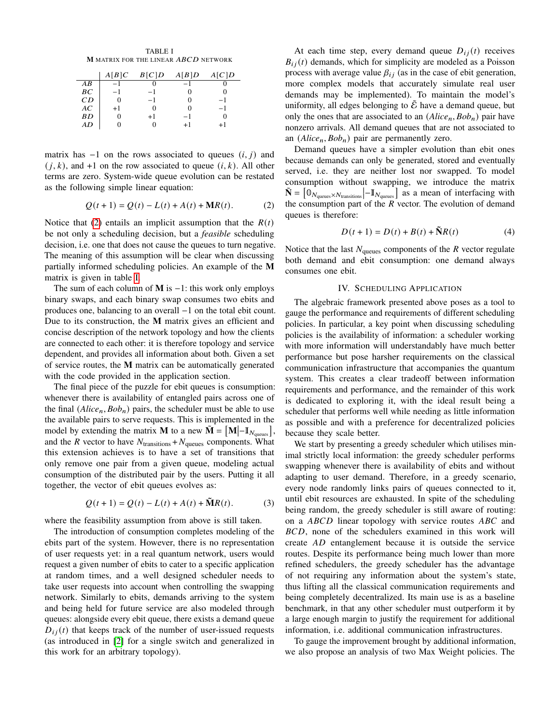<span id="page-3-2"></span>TABLE I **M** MATRIX FOR THE LINEAR ABCD NETWORK

|           | A[B]C | B[C]D | A[B]D | A[C]D |
|-----------|-------|-------|-------|-------|
| AB        | -1    |       |       |       |
| BС        | -1    | -1    |       |       |
| CD        |       | -1    |       | -1    |
| AC        | $+1$  |       |       | - 1   |
| <b>BD</b> |       | $+1$  |       |       |
| AD        |       |       | $+1$  |       |

matrix has  $-1$  on the rows associated to queues  $(i, j)$  and  $(j, k)$ , and +1 on the row associated to queue  $(i, k)$ . All other terms are zero. System-wide queue evolution can be restated as the following simple linear equation:

$$
Q(t+1) = Q(t) - L(t) + A(t) + MR(t).
$$
 (2)

Notice that [\(2\)](#page-3-1) entails an implicit assumption that the  $R(t)$ be not only a scheduling decision, but a *feasible* scheduling decision, i.e. one that does not cause the queues to turn negative. The meaning of this assumption will be clear when discussing partially informed scheduling policies. An example of the **M** matrix is given in table [I.](#page-3-2)

The sum of each column of **M** is −1: this work only employs binary swaps, and each binary swap consumes two ebits and produces one, balancing to an overall −1 on the total ebit count. Due to its construction, the **M** matrix gives an efficient and concise description of the network topology and how the clients are connected to each other: it is therefore topology and service dependent, and provides all information about both. Given a set of service routes, the **M** matrix can be automatically generated with the code provided in the application section.

The final piece of the puzzle for ebit queues is consumption: whenever there is availability of entangled pairs across one of the final  $(Alice_n, Bob_n)$  pairs, the scheduler must be able to use the available pairs to serve requests. This is implemented in the model by extending the matrix **M** to a new  $\tilde{\mathbf{M}} = [\mathbf{M} | - \mathbf{I}_{N_{\text{queues}}}],$ and the  $R$  vector to have  $N_{\text{transitions}} + N_{\text{queues}}$  components. What this extension achieves is to have a set of transitions that only remove one pair from a given queue, modeling actual consumption of the distributed pair by the users. Putting it all together, the vector of ebit queues evolves as:

$$
Q(t+1) = Q(t) - L(t) + A(t) + \tilde{M}R(t).
$$
 (3)

where the feasibility assumption from above is still taken.

The introduction of consumption completes modeling of the ebits part of the system. However, there is no representation of user requests yet: in a real quantum network, users would request a given number of ebits to cater to a specific application at random times, and a well designed scheduler needs to take user requests into account when controlling the swapping network. Similarly to ebits, demands arriving to the system and being held for future service are also modeled through queues: alongside every ebit queue, there exists a demand queue  $D_{ii}(t)$  that keeps track of the number of user-issued requests (as introduced in [\[2\]](#page-6-0) for a single switch and generalized in this work for an arbitrary topology).

At each time step, every demand queue  $D_{ij}(t)$  receives  $B_{i,i}(t)$  demands, which for simplicity are modeled as a Poisson process with average value  $\beta_{ij}$  (as in the case of ebit generation, more complex models that accurately simulate real user demands may be implemented). To maintain the model's uniformity, all edges belonging to  $\tilde{\mathcal{E}}$  have a demand queue, but only the ones that are associated to an  $(Alice_n, Bob_n)$  pair have nonzero arrivals. All demand queues that are not associated to an  $(Alice_n, Bob_n)$  pair are permanently zero.

<span id="page-3-1"></span>Demand queues have a simpler evolution than ebit ones because demands can only be generated, stored and eventually served, i.e. they are neither lost nor swapped. To model consumption without swapping, we introduce the matrix  $\tilde{\mathbf{N}} = [\mathbf{0}_{N_{\text{queues}} \times N_{\text{transitions}}} | - \mathbf{I}_{N_{\text{queues}}} ]$  as a mean of interfacing with the consumption part of the  $R$  vector. The evolution of demand queues is therefore:

$$
D(t+1) = D(t) + B(t) + \tilde{N}R(t)
$$
\n(4)

Notice that the last  $N_{\text{queues}}$  components of the  $R$  vector regulate both demand and ebit consumption: one demand always consumes one ebit.

# IV. SCHEDULING APPLICATION

<span id="page-3-0"></span>The algebraic framework presented above poses as a tool to gauge the performance and requirements of different scheduling policies. In particular, a key point when discussing scheduling policies is the availability of information: a scheduler working with more information will understandably have much better performance but pose harsher requirements on the classical communication infrastructure that accompanies the quantum system. This creates a clear tradeoff between information requirements and performance, and the remainder of this work is dedicated to exploring it, with the ideal result being a scheduler that performs well while needing as little information as possible and with a preference for decentralized policies because they scale better.

We start by presenting a greedy scheduler which utilises minimal strictly local information: the greedy scheduler performs swapping whenever there is availability of ebits and without adapting to user demand. Therefore, in a greedy scenario, every node randomly links pairs of queues connected to it, until ebit resources are exhausted. In spite of the scheduling being random, the greedy scheduler is still aware of routing: on a  $ABCD$  linear topology with service routes  $ABC$  and BCD, none of the schedulers examined in this work will create  $AD$  entanglement because it is outside the service routes. Despite its performance being much lower than more refined schedulers, the greedy scheduler has the advantage of not requiring any information about the system's state, thus lifting all the classical communication requirements and being completely decentralized. Its main use is as a baseline benchmark, in that any other scheduler must outperform it by a large enough margin to justify the requirement for additional information, i.e. additional communication infrastructures.

To gauge the improvement brought by additional information, we also propose an analysis of two Max Weight policies. The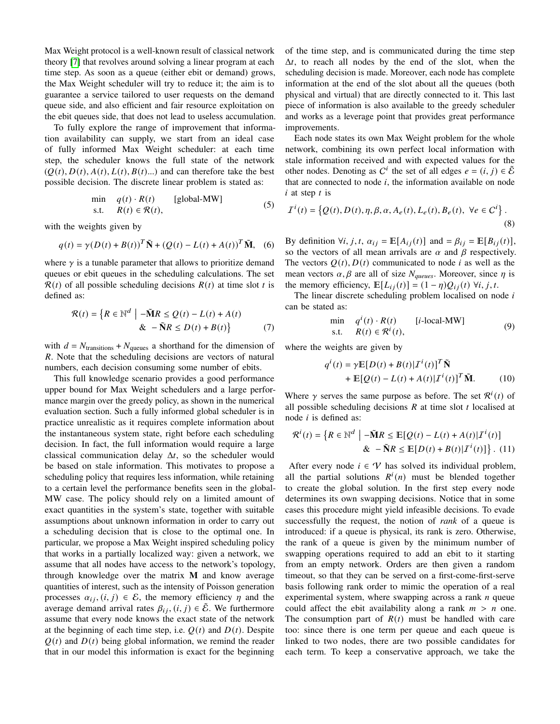Max Weight protocol is a well-known result of classical network theory [\[7\]](#page-6-5) that revolves around solving a linear program at each time step. As soon as a queue (either ebit or demand) grows, the Max Weight scheduler will try to reduce it; the aim is to guarantee a service tailored to user requests on the demand queue side, and also efficient and fair resource exploitation on the ebit queues side, that does not lead to useless accumulation.

To fully explore the range of improvement that information availability can supply, we start from an ideal case of fully informed Max Weight scheduler: at each time step, the scheduler knows the full state of the network  $(Q(t), D(t), A(t), L(t), B(t)...)$  and can therefore take the best possible decision. The discrete linear problem is stated as:

$$
\begin{array}{ll}\n\text{min} & q(t) \cdot R(t) \quad \text{[global-MW]} \\
\text{s.t.} & R(t) \in \mathcal{R}(t),\n\end{array} \tag{5}
$$

with the weights given by

$$
q(t) = \gamma (D(t) + B(t))^{T} \tilde{\mathbf{N}} + (Q(t) - L(t) + A(t))^{T} \tilde{\mathbf{M}}, \quad (6)
$$

where  $\gamma$  is a tunable parameter that allows to prioritize demand queues or ebit queues in the scheduling calculations. The set  $R(t)$  of all possible scheduling decisions  $R(t)$  at time slot t is defined as:

$$
\mathcal{R}(t) = \left\{ R \in \mathbb{N}^d \mid -\tilde{M}R \le Q(t) - L(t) + A(t) \right\}
$$
  
& -\tilde{N}R \le D(t) + B(t) \qquad (7)

with  $d = N_{\text{transitions}} + N_{\text{queues}}$  a shorthand for the dimension of . Note that the scheduling decisions are vectors of natural numbers, each decision consuming some number of ebits.

This full knowledge scenario provides a good performance upper bound for Max Weight schedulers and a large performance margin over the greedy policy, as shown in the numerical evaluation section. Such a fully informed global scheduler is in practice unrealistic as it requires complete information about the instantaneous system state, right before each scheduling decision. In fact, the full information would require a large classical communication delay  $\Delta t$ , so the scheduler would be based on stale information. This motivates to propose a scheduling policy that requires less information, while retaining to a certain level the performance benefits seen in the global-MW case. The policy should rely on a limited amount of exact quantities in the system's state, together with suitable assumptions about unknown information in order to carry out a scheduling decision that is close to the optimal one. In particular, we propose a Max Weight inspired scheduling policy that works in a partially localized way: given a network, we assume that all nodes have access to the network's topology, through knowledge over the matrix **M** and know average quantities of interest, such as the intensity of Poisson generation processes  $\alpha_{ij}$ ,  $(i, j) \in \mathcal{E}$ , the memory efficiency  $\eta$  and the average demand arrival rates  $\beta_{ij}$ ,  $(i, j) \in \tilde{\mathcal{E}}$ . We furthermore assume that every node knows the exact state of the network at the beginning of each time step, i.e.  $Q(t)$  and  $D(t)$ . Despite  $Q(t)$  and  $D(t)$  being global information, we remind the reader that in our model this information is exact for the beginning

of the time step, and is communicated during the time step  $\Delta t$ , to reach all nodes by the end of the slot, when the scheduling decision is made. Moreover, each node has complete information at the end of the slot about all the queues (both physical and virtual) that are directly connected to it. This last piece of information is also available to the greedy scheduler and works as a leverage point that provides great performance improvements.

Each node states its own Max Weight problem for the whole network, combining its own perfect local information with stale information received and with expected values for the other nodes. Denoting as  $C^i$  the set of all edges  $e = (i, j) \in \tilde{\mathcal{E}}$ that are connected to node  $i$ , the information available on node  $i$  at step  $t$  is

$$
I^{i}(t) = \left\{ Q(t), D(t), \eta, \beta, \alpha, A_{e}(t), L_{e}(t), B_{e}(t), \ \forall e \in C^{i} \right\}.
$$
\n(8)

By definition  $\forall i, j, t, \alpha_{ij} = \mathbb{E}[A_{ij}(t)]$  and  $= \beta_{ij} = \mathbb{E}[B_{ij}(t)],$ so the vectors of all mean arrivals are  $\alpha$  and  $\beta$  respectively. The vectors  $Q(t)$ ,  $D(t)$  communicated to node *i* as well as the mean vectors  $\alpha$ ,  $\beta$  are all of size  $N_{queues}$ . Moreover, since  $\eta$  is the memory efficiency,  $\mathbb{E}[L_{ij}(t)] = (1 - \eta)Q_{ij}(t) \ \forall i, j, t$ .

The linear discrete scheduling problem localised on node  $i$ can be stated as:

$$
\begin{array}{ll}\n\text{min} & q^i(t) \cdot R(t) & [i\text{-local-MW}] \\
\text{s.t.} & R(t) \in \mathcal{R}^i(t),\n\end{array} \tag{9}
$$

where the weights are given by

$$
q^{i}(t) = \gamma \mathbb{E}[D(t) + B(t)|\mathbf{I}^{i}(t)]^{T} \tilde{\mathbf{N}}
$$
  
+ 
$$
\mathbb{E}[Q(t) - L(t) + A(t)|\mathbf{I}^{i}(t)]^{T} \tilde{\mathbf{M}}.
$$
 (10)

Where  $\gamma$  serves the same purpose as before. The set  $\mathcal{R}^{i}(t)$  of all possible scheduling decisions  $R$  at time slot  $t$  localised at node  $i$  is defined as:

$$
\mathcal{R}^{i}(t) = \left\{ R \in \mathbb{N}^{d} \mid -\tilde{\mathbf{M}}R \le \mathbb{E}[Q(t) - L(t) + A(t)|\mathcal{I}^{i}(t)] \right\}
$$

$$
\& \quad -\tilde{\mathbf{N}}R \le \mathbb{E}[D(t) + B(t)|\mathcal{I}^{i}(t)] \right\}. \tag{11}
$$

After every node  $i \in V$  has solved its individual problem, all the partial solutions  $R^i(n)$  must be blended together to create the global solution. In the first step every node determines its own swapping decisions. Notice that in some cases this procedure might yield infeasible decisions. To evade successfully the request, the notion of *rank* of a queue is introduced: if a queue is physical, its rank is zero. Otherwise, the rank of a queue is given by the minimum number of swapping operations required to add an ebit to it starting from an empty network. Orders are then given a random timeout, so that they can be served on a first-come-first-serve basis following rank order to mimic the operation of a real experimental system, where swapping across a rank  $n$  queue could affect the ebit availability along a rank  $m > n$  one. The consumption part of  $R(t)$  must be handled with care too: since there is one term per queue and each queue is linked to two nodes, there are two possible candidates for each term. To keep a conservative approach, we take the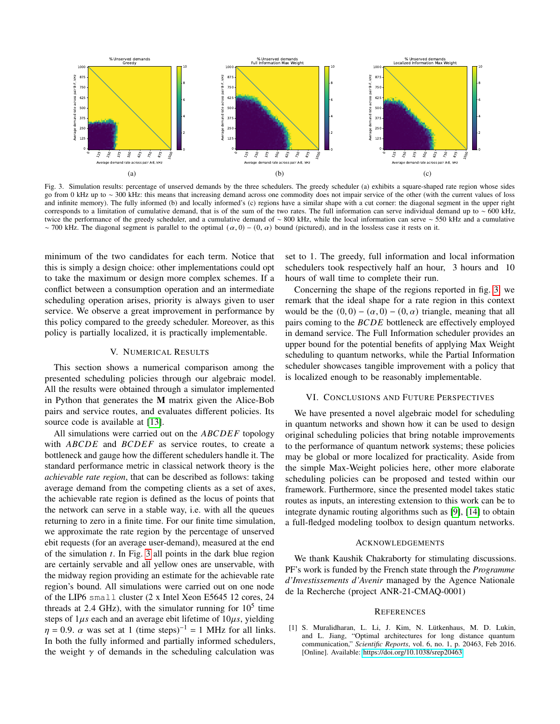

Fig. 3. Simulation results: percentage of unserved demands by the three schedulers. The greedy scheduler (a) exhibits a square-shaped rate region whose sides go from 0 kHz up to ~ 300 kHz: this means that increasing demand across one commodity does not impair service of the other (with the current values of loss and infinite memory). The fully informed (b) and locally informed's (c) regions have a similar shape with a cut corner: the diagonal segment in the upper right corresponds to a limitation of cumulative demand, that is of the sum of the two rates. The full information can serve individual demand up to  $\sim$  600 kHz, twice the performance of the greedy scheduler, and a cumulative demand of ∼ 800 kHz, while the local information can serve ∼ 550 kHz and a cumulative ~700 kHz. The diagonal segment is parallel to the optimal  $(\alpha, 0)$  –  $(0, \alpha)$  bound (pictured), and in the lossless case it rests on it.

minimum of the two candidates for each term. Notice that this is simply a design choice: other implementations could opt to take the maximum or design more complex schemes. If a conflict between a consumption operation and an intermediate scheduling operation arises, priority is always given to user service. We observe a great improvement in performance by this policy compared to the greedy scheduler. Moreover, as this policy is partially localized, it is practically implementable.

## V. NUMERICAL RESULTS

<span id="page-5-1"></span>This section shows a numerical comparison among the presented scheduling policies through our algebraic model. All the results were obtained through a simulator implemented in Python that generates the **M** matrix given the Alice-Bob pairs and service routes, and evaluates different policies. Its source code is available at [\[13\]](#page-6-11).

All simulations were carried out on the  $ABCDEF$  topology with  $ABCDE$  and  $BCDEF$  as service routes, to create a bottleneck and gauge how the different schedulers handle it. The standard performance metric in classical network theory is the *achievable rate region*, that can be described as follows: taking average demand from the competing clients as a set of axes, the achievable rate region is defined as the locus of points that the network can serve in a stable way, i.e. with all the queues returning to zero in a finite time. For our finite time simulation, we approximate the rate region by the percentage of unserved ebit requests (for an average user-demand), measured at the end of the simulation  $t$ . In Fig. [3](#page-5-3) all points in the dark blue region are certainly servable and all yellow ones are unservable, with the midway region providing an estimate for the achievable rate region's bound. All simulations were carried out on one node of the LIP6 small cluster (2 x Intel Xeon E5645 12 cores, 24 threads at 2.4 GHz), with the simulator running for  $10^5$  time steps of  $1\mu s$  each and an average ebit lifetime of  $10\mu s$ , yielding  $\eta = 0.9$ .  $\alpha$  was set at 1 (time steps)<sup>-1</sup> = 1 MHz for all links. In both the fully informed and partially informed schedulers, the weight  $\gamma$  of demands in the scheduling calculation was

<span id="page-5-3"></span>set to 1. The greedy, full information and local information schedulers took respectively half an hour, 3 hours and 10 hours of wall time to complete their run.

Concerning the shape of the regions reported in fig. [3,](#page-5-3) we remark that the ideal shape for a rate region in this context would be the  $(0, 0) - (\alpha, 0) - (0, \alpha)$  triangle, meaning that all pairs coming to the  $BCDE$  bottleneck are effectively employed in demand service. The Full Information scheduler provides an upper bound for the potential benefits of applying Max Weight scheduling to quantum networks, while the Partial Information scheduler showcases tangible improvement with a policy that is localized enough to be reasonably implementable.

## VI. CONCLUSIONS AND FUTURE PERSPECTIVES

<span id="page-5-2"></span>We have presented a novel algebraic model for scheduling in quantum networks and shown how it can be used to design original scheduling policies that bring notable improvements to the performance of quantum network systems; these policies may be global or more localized for practicality. Aside from the simple Max-Weight policies here, other more elaborate scheduling policies can be proposed and tested within our framework. Furthermore, since the presented model takes static routes as inputs, an interesting extension to this work can be to integrate dynamic routing algorithms such as [\[9\]](#page-6-7), [\[14\]](#page-6-12) to obtain a full-fledged modeling toolbox to design quantum networks.

# ACKNOWLEDGEMENTS

We thank Kaushik Chakraborty for stimulating discussions. PF's work is funded by the French state through the *Programme d'Investissements d'Avenir* managed by the Agence Nationale de la Recherche (project ANR-21-CMAQ-0001)

#### **REFERENCES**

<span id="page-5-0"></span>[1] S. Muralidharan, L. Li, J. Kim, N. Lütkenhaus, M. D. Lukin, and L. Jiang, "Optimal architectures for long distance quantum communication," *Scientific Reports*, vol. 6, no. 1, p. 20463, Feb 2016. [Online]. Available:<https://doi.org/10.1038/srep20463>